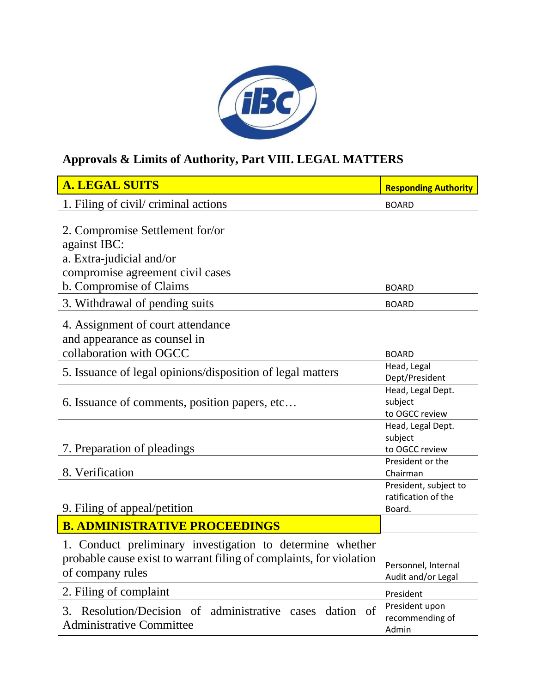

## **Approvals & Limits of Authority, Part VIII. LEGAL MATTERS**

| <b>A. LEGAL SUITS</b>                                                                                                                                | <b>Responding Authority</b>                            |
|------------------------------------------------------------------------------------------------------------------------------------------------------|--------------------------------------------------------|
| 1. Filing of civil/ criminal actions                                                                                                                 | <b>BOARD</b>                                           |
| 2. Compromise Settlement for/or<br>against IBC:<br>a. Extra-judicial and/or<br>compromise agreement civil cases<br>b. Compromise of Claims           | <b>BOARD</b>                                           |
| 3. Withdrawal of pending suits                                                                                                                       | <b>BOARD</b>                                           |
| 4. Assignment of court attendance<br>and appearance as counsel in<br>collaboration with OGCC                                                         | <b>BOARD</b>                                           |
| 5. Issuance of legal opinions/disposition of legal matters                                                                                           | Head, Legal<br>Dept/President                          |
| 6. Issuance of comments, position papers, etc                                                                                                        | Head, Legal Dept.<br>subject<br>to OGCC review         |
| 7. Preparation of pleadings                                                                                                                          | Head, Legal Dept.<br>subject<br>to OGCC review         |
| 8. Verification                                                                                                                                      | President or the<br>Chairman                           |
| 9. Filing of appeal/petition                                                                                                                         | President, subject to<br>ratification of the<br>Board. |
| <b>B. ADMINISTRATIVE PROCEEDINGS</b>                                                                                                                 |                                                        |
| 1. Conduct preliminary investigation to determine whether<br>probable cause exist to warrant filing of complaints, for violation<br>of company rules | Personnel, Internal<br>Audit and/or Legal              |
| 2. Filing of complaint                                                                                                                               | President                                              |
| Resolution/Decision of administrative cases<br>dation of<br>3.<br><b>Administrative Committee</b>                                                    | President upon<br>recommending of<br>Admin             |